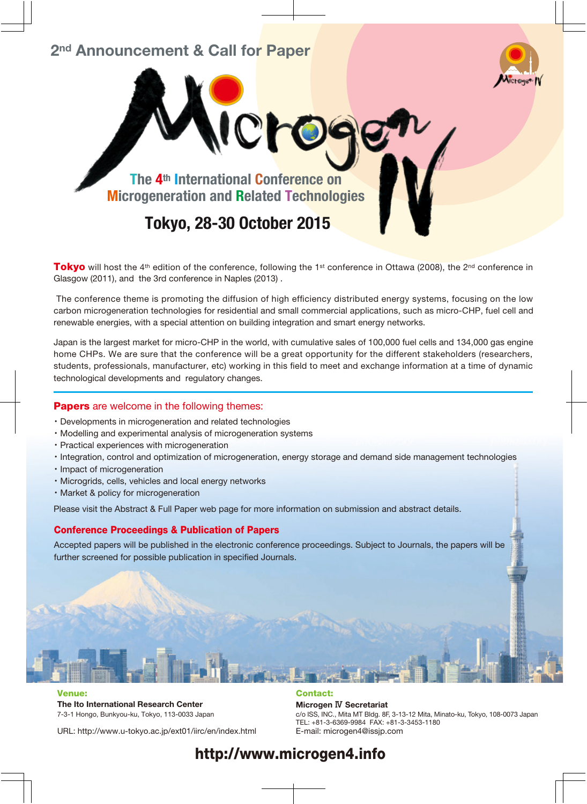## 2<sup>nd</sup> Announcement & Call for Paper



The 4th International Conference on Microgeneration and Related Technologies

NCro

Tokyo, 28-30 October 2015

**Tokyo** will host the 4<sup>th</sup> edition of the conference, following the 1<sup>st</sup> conference in Ottawa (2008), the 2<sup>nd</sup> conference in Glasgow (2011), and the 3rd conference in Naples (2013) .

The conference theme is promoting the diffusion of high efficiency distributed energy systems, focusing on the low carbon microgeneration technologies for residential and small commercial applications, such as micro-CHP, fuel cell and renewable energies, with a special attention on building integration and smart energy networks.

Japan is the largest market for micro-CHP in the world, with cumulative sales of 100,000 fuel cells and 134,000 gas engine home CHPs. We are sure that the conference will be a great opportunity for the different stakeholders (researchers, students, professionals, manufacturer, etc) working in this field to meet and exchange information at a time of dynamic technological developments and regulatory changes.

#### **Papers** are welcome in the following themes:

- ・Developments in microgeneration and related technologies
- ・Modelling and experimental analysis of microgeneration systems
- ・Practical experiences with microgeneration
- ・Integration, control and optimization of microgeneration, energy storage and demand side management technologies
- ・Impact of microgeneration
- ・Microgrids, cells, vehicles and local energy networks
- ・Market & policy for microgeneration

Please visit the Abstract & Full Paper web page for more information on submission and abstract details.

#### Conference Proceedings & Publication of Papers

Accepted papers will be published in the electronic conference proceedings. Subject to Journals, the papers will be further screened for possible publication in specified Journals.

#### Venue:

The Ito International Research Center 7-3-1 Hongo, Bunkyou-ku, Tokyo, 113-0033 Japan

#### Contact:

Microgen Ⅳ Secretariat c/o ISS, INC., Mita MT Bldg. 8F, 3-13-12 Mita, Minato-ku, Tokyo, 108-0073 Japan TEL: +81-3-6369-9984 FAX: +81-3-3453-1180 E-mail: microgen4@issjp.com

URL: http://www.u-tokyo.ac.jp/ext01/iirc/en/index.html

# http://www.microgen4.info